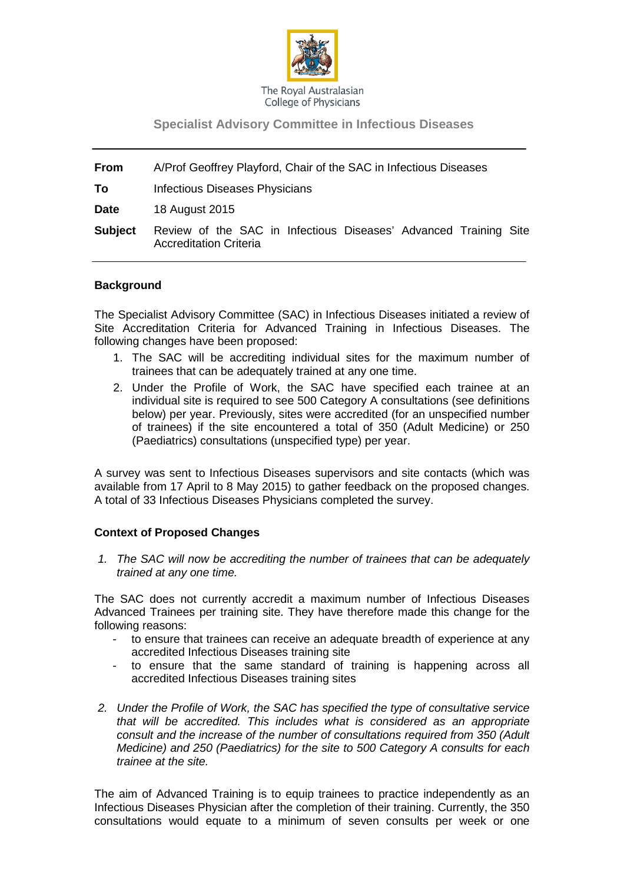

## **Specialist Advisory Committee in Infectious Diseases**

**From** A/Prof Geoffrey Playford, Chair of the SAC in Infectious Diseases **To** Infectious Diseases Physicians **Date** 18 August 2015 **Subject** Review of the SAC in Infectious Diseases' Advanced Training Site Accreditation Criteria

## **Background**

The Specialist Advisory Committee (SAC) in Infectious Diseases initiated a review of Site Accreditation Criteria for Advanced Training in Infectious Diseases. The following changes have been proposed:

- 1. The SAC will be accrediting individual sites for the maximum number of trainees that can be adequately trained at any one time.
- 2. Under the Profile of Work, the SAC have specified each trainee at an individual site is required to see 500 Category A consultations (see definitions below) per year. Previously, sites were accredited (for an unspecified number of trainees) if the site encountered a total of 350 (Adult Medicine) or 250 (Paediatrics) consultations (unspecified type) per year.

A survey was sent to Infectious Diseases supervisors and site contacts (which was available from 17 April to 8 May 2015) to gather feedback on the proposed changes. A total of 33 Infectious Diseases Physicians completed the survey.

## **Context of Proposed Changes**

*1. The SAC will now be accrediting the number of trainees that can be adequately trained at any one time.*

The SAC does not currently accredit a maximum number of Infectious Diseases Advanced Trainees per training site. They have therefore made this change for the following reasons:

- to ensure that trainees can receive an adequate breadth of experience at any accredited Infectious Diseases training site
- to ensure that the same standard of training is happening across all accredited Infectious Diseases training sites
- *2. Under the Profile of Work, the SAC has specified the type of consultative service that will be accredited. This includes what is considered as an appropriate consult and the increase of the number of consultations required from 350 (Adult Medicine) and 250 (Paediatrics) for the site to 500 Category A consults for each trainee at the site.*

The aim of Advanced Training is to equip trainees to practice independently as an Infectious Diseases Physician after the completion of their training. Currently, the 350 consultations would equate to a minimum of seven consults per week or one